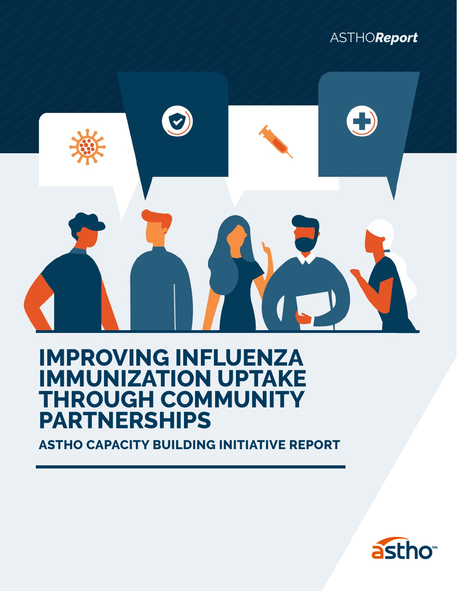



### **IMPROVING INFLUENZA IMMUNIZATION UPTAKE THROUGH COMMUNITY PARTNERSHIPS**

**ASTHO CAPACITY BUILDING INITIATIVE REPORT**

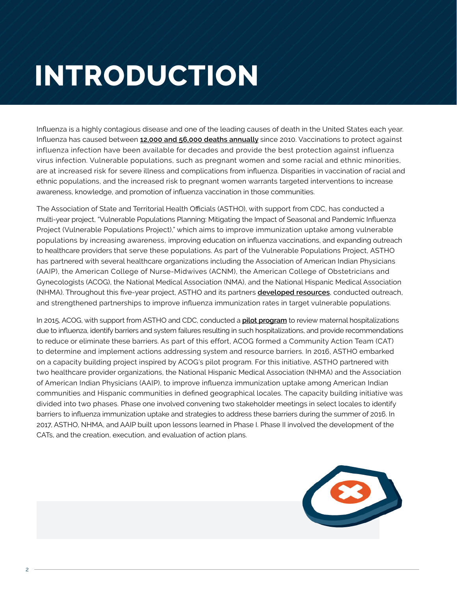# **INTRODUCTION**

Influenza is a highly contagious disease and one of the leading causes of death in the United States each year. Influenza has caused between **[12,000 and 56,000 deaths annually](https://www.cdc.gov/flu/about/disease/2015-16.htm)** since 2010. Vaccinations to protect against influenza infection have been available for decades and provide the best protection against influenza virus infection. Vulnerable populations, such as pregnant women and some racial and ethnic minorities, are at increased risk for severe illness and complications from influenza. Disparities in vaccination of racial and ethnic populations, and the increased risk to pregnant women warrants targeted interventions to increase awareness, knowledge, and promotion of influenza vaccination in those communities.

The Association of State and Territorial Health Officials (ASTHO), with support from CDC, has conducted a multi-year project, "Vulnerable Populations Planning: Mitigating the Impact of Seasonal and Pandemic Influenza Project (Vulnerable Populations Project)," which aims to improve immunization uptake among vulnerable populations by increasing awareness, improving education on influenza vaccinations, and expanding outreach to healthcare providers that serve these populations. As part of the Vulnerable Populations Project, ASTHO has partnered with several healthcare organizations including the Association of American Indian Physicians (AAIP), the American College of Nurse-Midwives (ACNM), the American College of Obstetricians and Gynecologists (ACOG), the National Medical Association (NMA), and the National Hispanic Medical Association (NHMA). Throughout this five-year project, ASTHO and its partners **[developed resources](http://www.astho.org/Infectious-Disease/Mitigating-Influenza-in-Vulnerable-Populations/)**, conducted outreach, and strengthened partnerships to improve influenza immunization rates in target vulnerable populations.

In 2015, ACOG, with support from ASTHO and CDC, conducted a **[pilot program](http://immunizationforwomen.org/uploads/MIRP_ toolkit_Final.pdf)** to review maternal hospitalizations due to influenza, identify barriers and system failures resulting in such hospitalizations, and provide recommendations to reduce or eliminate these barriers. As part of this effort, ACOG formed a Community Action Team (CAT) to determine and implement actions addressing system and resource barriers. In 2016, ASTHO embarked on a capacity building project inspired by ACOG's pilot program. For this initiative, ASTHO partnered with two healthcare provider organizations, the National Hispanic Medical Association (NHMA) and the Association of American Indian Physicians (AAIP), to improve influenza immunization uptake among American Indian communities and Hispanic communities in defined geographical locales. The capacity building initiative was divided into two phases. Phase one involved convening two stakeholder meetings in select locales to identify barriers to influenza immunization uptake and strategies to address these barriers during the summer of 2016. In 2017, ASTHO, NHMA, and AAIP built upon lessons learned in Phase I. Phase II involved the development of the CATs, and the creation, execution, and evaluation of action plans.

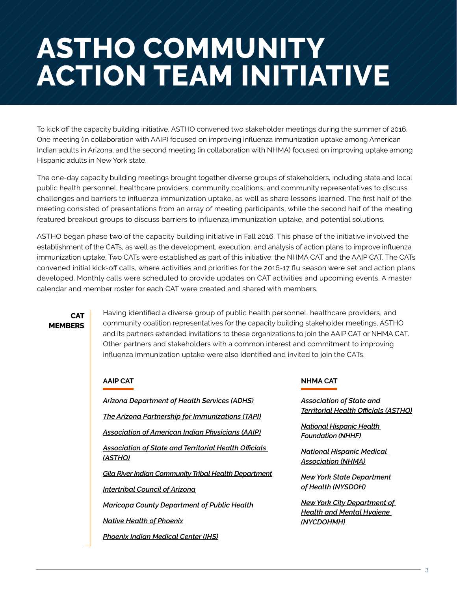### **ASTHO COMMUNITY ACTION TEAM INITIATIVE**

To kick off the capacity building initiative, ASTHO convened two stakeholder meetings during the summer of 2016. One meeting (in collaboration with AAIP) focused on improving influenza immunization uptake among American Indian adults in Arizona, and the second meeting (in collaboration with NHMA) focused on improving uptake among Hispanic adults in New York state.

The one-day capacity building meetings brought together diverse groups of stakeholders, including state and local public health personnel, healthcare providers, community coalitions, and community representatives to discuss challenges and barriers to influenza immunization uptake, as well as share lessons learned. The first half of the meeting consisted of presentations from an array of meeting participants, while the second half of the meeting featured breakout groups to discuss barriers to influenza immunization uptake, and potential solutions.

ASTHO began phase two of the capacity building initiative in Fall 2016. This phase of the initiative involved the establishment of the CATs, as well as the development, execution, and analysis of action plans to improve influenza immunization uptake. Two CATs were established as part of this initiative: the NHMA CAT and the AAIP CAT. The CATs convened initial kick-off calls, where activities and priorities for the 2016-17 flu season were set and action plans developed. Monthly calls were scheduled to provide updates on CAT activities and upcoming events. A master calendar and member roster for each CAT were created and shared with members.

#### **CAT MEMBERS**

Having identified a diverse group of public health personnel, healthcare providers, and community coalition representatives for the capacity building stakeholder meetings, ASTHO and its partners extended invitations to these organizations to join the AAIP CAT or NHMA CAT. Other partners and stakeholders with a common interest and commitment to improving influenza immunization uptake were also identified and invited to join the CATs.

#### **AAIP CAT**

*[Arizona Department of Health Services \(ADHS\)](http://www.azdhs.gov/)*

*[The Arizona Partnership for Immunizations \(TAPI\)](https://www.whyimmunize.org/)*

*[Association of American Indian Physicians \(AAIP\)](https://www.aaip.org/)*

*[Association of State and Territorial Health Officials](http://www.astho.org/)  [\(ASTHO\)](http://www.astho.org/)*

*[Gila River Indian Community Tribal Health Department](http://www.gricthd.org/)*

*[Intertribal Council of Arizona](http://itcaonline.com/)*

*[Maricopa County Department of Public Health](http://www.maricopa.gov/3849/Public-Health)*

*[Native Health of Phoenix](https://www.nativehealthphoenix.org/)*

*[Phoenix Indian Medical Center \(IHS\)](https://www.ihs.gov/Phoenix/healthcarefacilities/phoenix/)*

#### **NHMA CAT**

*[Association of State and](http://www.astho.org/)  [Territorial Health Officials \(ASTHO\)](http://www.astho.org/)*

*[National Hispanic Health](http://www.nhmafoundation.org/)  [Foundation \(NHHF\)](http://www.nhmafoundation.org/)*

*[National Hispanic Medical](http://nhmamd.org/)  [Association \(NHMA\)](http://nhmamd.org/)*

*[New York State Department](https://www.health.ny.gov/)  [of Health \(NYSDOH\)](https://www.health.ny.gov/)*

*[New York City Department of](http://www1.nyc.gov/site/doh/index.page)  [Health and Mental Hygiene](http://www1.nyc.gov/site/doh/index.page)  [\(NYCDOHMH\)](http://www1.nyc.gov/site/doh/index.page)*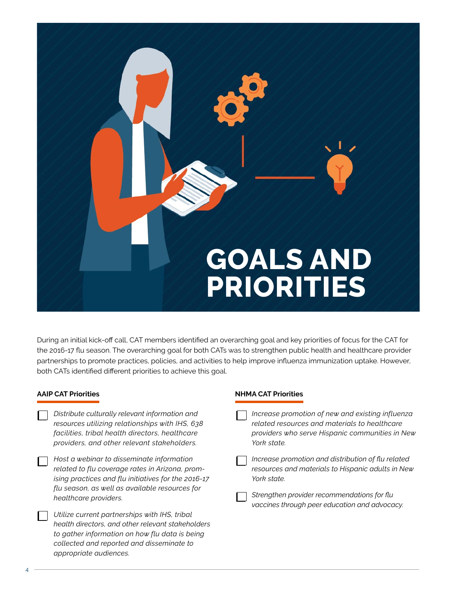

During an initial kick-off call, CAT members identified an overarching goal and key priorities of focus for the CAT for the 2016-17 flu season. The overarching goal for both CATs was to strengthen public health and healthcare provider partnerships to promote practices, policies, and activities to help improve influenza immunization uptake. However, both CATs identified different priorities to achieve this goal.

**NHMA CAT Priorities**

#### **AAIP CAT Priorities**

*appropriate audiences.* 

| Distribute culturally relevant information and<br>resources utilizing relationships with IHS, 638<br>facilities, tribal health directors, healthcare<br>providers, and other relevant stakeholders.                            | Increase promotion of new and existing influenza<br>related resources and materials to healthcare<br>providers who serve Hispanic communities in New<br>York state.                                                    |
|--------------------------------------------------------------------------------------------------------------------------------------------------------------------------------------------------------------------------------|------------------------------------------------------------------------------------------------------------------------------------------------------------------------------------------------------------------------|
| Host a webinar to disseminate information<br>related to flu coverage rates in Arizona, prom-<br>ising practices and flu initiatives for the 2016-17<br>flu season, as well as available resources for<br>healthcare providers. | Increase promotion and distribution of flu related<br>resources and materials to Hispanic adults in New<br>York state.<br>Strengthen provider recommendations for flu<br>vaccines through peer education and advocacy. |
| Utilize current partnerships with IHS, tribal<br>health directors, and other relevant stakeholders<br>to gather information on how flu data is being<br>collected and reported and disseminate to                              |                                                                                                                                                                                                                        |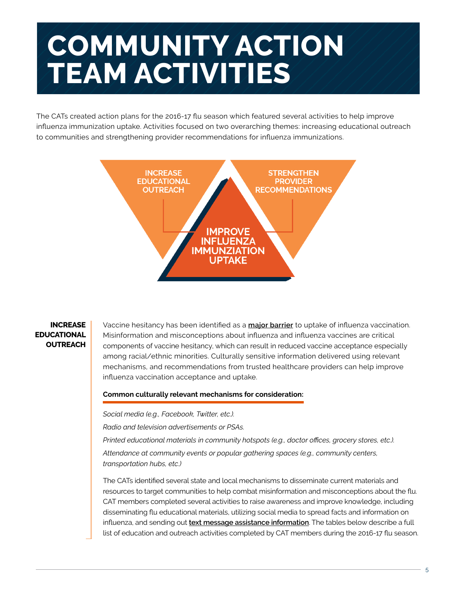## **COMMUNITY ACTION TEAM ACTIVITIES**

The CATs created action plans for the 2016-17 flu season which featured several activities to help improve influenza immunization uptake. Activities focused on two overarching themes: increasing educational outreach to communities and strengthening provider recommendations for influenza immunizations.



#### **INCREASE EDUCATIONAL OUTREACH**

Vaccine hesitancy has been identified as a **[major barrier](https://www.ncbi.nlm.nih.gov/pmc/articles/PMC4162046/)** to uptake of influenza vaccination. Misinformation and misconceptions about influenza and influenza vaccines are critical components of vaccine hesitancy, which can result in reduced vaccine acceptance especially among racial/ethnic minorities. Culturally sensitive information delivered using relevant mechanisms, and recommendations from trusted healthcare providers can help improve influenza vaccination acceptance and uptake.

#### **Common culturally relevant mechanisms for consideration:**

*Social media (e.g., Facebook, Twitter, etc.).*

*Radio and television advertisements or PSAs.*

*Printed educational materials in community hotspots (e.g., doctor offices, grocery stores, etc.).*

*Attendance at community events or popular gathering spaces (e.g., community centers, transportation hubs, etc.)*

The CATs identified several state and local mechanisms to disseminate current materials and resources to target communities to help combat misinformation and misconceptions about the flu. CAT members completed several activities to raise awareness and improve knowledge, including disseminating flu educational materials, utilizing social media to spread facts and information on influenza, and sending out **[text message assistance information](https://www1.nyc.gov/311/our-mission.page)**. The tables below describe a full list of education and outreach activities completed by CAT members during the 2016-17 flu season.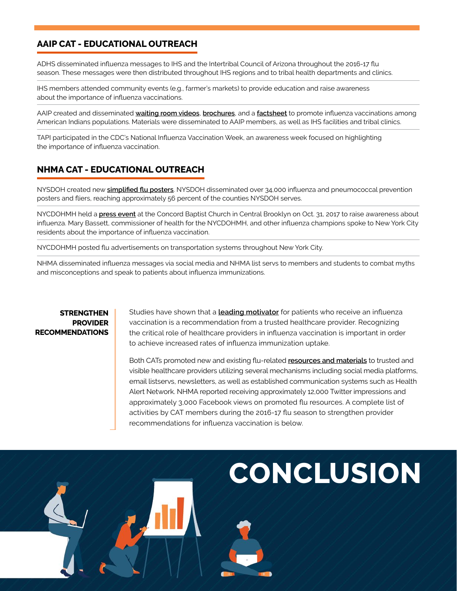#### **AAIP CAT - EDUCATIONAL OUTREACH**

ADHS disseminated influenza messages to IHS and the Intertribal Council of Arizona throughout the 2016-17 flu season. These messages were then distributed throughout IHS regions and to tribal health departments and clinics.

IHS members attended community events (e.g., farmer's markets) to provide education and raise awareness about the importance of influenza vaccinations.

AAIP created and disseminated **[waiting room videos](https://www.aaip.org/programs/capacity-building-assistance/influenza-vaccination/)**, **[brochures](https://www.aaip.org/sites/aaip/uploads/images/1407-_AAIP_FluBrochureNB.pdf)**, and a **[factsheet](https://www.aaip.org/sites/aaip/uploads/images/AAIP_Flu_Poster_2015_092115.pdf)** to promote influenza vaccinations among American Indians populations. Materials were disseminated to AAIP members, as well as IHS facilities and tribal clinics.

TAPI participated in the CDC's National Influenza Vaccination Week, an awareness week focused on highlighting the importance of influenza vaccination.

#### **NHMA CAT - EDUCATIONAL OUTREACH**

NYSDOH created new **[simplified flu posters](https://www.health.ny.gov/publications/2424.pdf)**. NYSDOH disseminated over 34,000 influenza and pneumococcal prevention posters and fliers, reaching approximately 56 percent of the counties NYSDOH serves.

NYCDOHMH held a **[press event](https://eldiariony.com/2016/10/31/urgen-a-neoyorquinos-vacunarse-contra-el-flu/)** at the Concord Baptist Church in Central Brooklyn on Oct. 31, 2017 to raise awareness about influenza. Mary Bassett, commissioner of health for the NYCDOHMH, and other influenza champions spoke to New York City residents about the importance of influenza vaccination.

NYCDOHMH posted flu advertisements on transportation systems throughout New York City.

NHMA disseminated influenza messages via social media and NHMA list servs to members and students to combat myths and misconceptions and speak to patients about influenza immunizations.

#### **STRENGTHEN PROVIDER RECOMMENDATIONS**

Studies have shown that a **[leading motivator](https://journals.plos.org/plosone/article/file?id=10.1371/journal.pone.0114863&type=printable)** for patients who receive an influenza vaccination is a recommendation from a trusted healthcare provider. Recognizing the critical role of healthcare providers in influenza vaccination is important in order to achieve increased rates of influenza immunization uptake.

Both CATs promoted new and existing flu-related **[resources and materials](http://www.astho.org/Infectious-Disease/Mitigating-Influenza-in-Vulnerable-Populations/#CAT)** to trusted and visible healthcare providers utilizing several mechanisms including social media platforms, email listservs, newsletters, as well as established communication systems such as Health Alert Network. NHMA reported receiving approximately 12,000 Twitter impressions and approximately 3,000 Facebook views on promoted flu resources. A complete list of activities by CAT members during the 2016-17 flu season to strengthen provider recommendations for influenza vaccination is below.

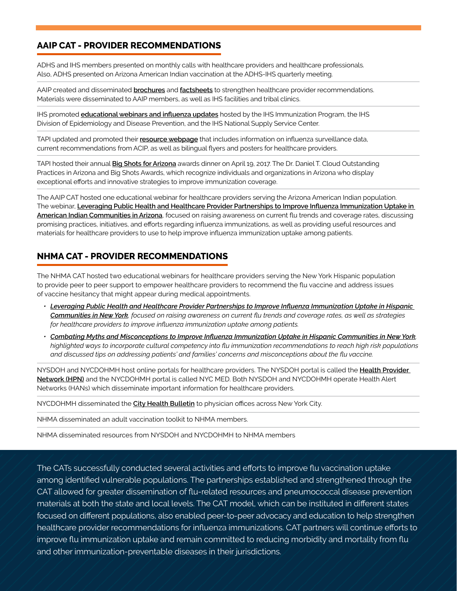#### **AAIP CAT - PROVIDER RECOMMENDATIONS**

ADHS and IHS members presented on monthly calls with healthcare providers and healthcare professionals. Also, ADHS presented on Arizona American Indian vaccination at the ADHS-IHS quarterly meeting.

AAIP created and disseminated **[brochures](https://www.aaip.org/sites/aaip/uploads/images/1407-_AAIP_FluBrochureNB.pdf)** and **[factsheets](https://www.aaip.org/sites/aaip/uploads/images/AAIP_Flu_Poster_2015_092115.pdf)** to strengthen healthcare provider recommendations. Materials were disseminated to AAIP members, as well as IHS facilities and tribal clinics.

IHS promoted **[educational webinars and influenza updates](https://www.ihs.gov/flu/resources/providerinfluenza/)** hosted by the IHS Immunization Program, the IHS Division of Epidemiology and Disease Prevention, and the IHS National Supply Service Center.

TAPI updated and promoted their **[resource webpage](https://www.whyimmunize.org/for-providers/health-alert/flu-page/)** that includes information on influenza surveillance data, current recommendations from ACIP, as well as bilingual flyers and posters for healthcare providers.

TAPI hosted their annual **[Big Shots for Arizona](https://www.whyimmunize.org/cloud-providers/)** awards dinner on April 19, 2017. The Dr. Daniel T. Cloud Outstanding Practices in Arizona and Big Shots Awards, which recognize individuals and organizations in Arizona who display exceptional efforts and innovative strategies to improve immunization coverage.

The AAIP CAT hosted one educational webinar for healthcare providers serving the Arizona American Indian population. The webinar, **[Leveraging Public Health and Healthcare Provider Partnerships to Improve Influenza Immunization Uptake in](https://www.youtube.com/watch?v=1bfcpjmECgI)  [American Indian Communities in Arizona](https://www.youtube.com/watch?v=1bfcpjmECgI)**, focused on raising awareness on current flu trends and coverage rates, discussing promising practices, initiatives, and efforts regarding influenza immunizations, as well as providing useful resources and materials for healthcare providers to use to help improve influenza immunization uptake among patients.

#### **NHMA CAT - PROVIDER RECOMMENDATIONS**

The NHMA CAT hosted two educational webinars for healthcare providers serving the New York Hispanic population to provide peer to peer support to empower healthcare providers to recommend the flu vaccine and address issues of vaccine hesitancy that might appear during medical appointments.

- *• [Leveraging Public Health and Healthcare Provider Partnerships to Improve Influenza Immunization Uptake in Hispanic](https://www.youtube.com/watch?v=BxxF77n2gyU)  [Communities in New York](https://www.youtube.com/watch?v=BxxF77n2gyU), focused on raising awareness on current flu trends and coverage rates, as well as strategies for healthcare providers to improve influenza immunization uptake among patients.*
- *• [Combating Myths and Misconceptions to Improve Influenza Immunization Uptake in Hispanic Communities in New York](https://www.youtube.com/watch?v=Zn0CmWf7z3I), highlighted ways to incorporate cultural competency into flu immunization recommendations to reach high risk populations and discussed tips on addressing patients' and families' concerns and misconceptions about the flu vaccine.*

NYSDOH and NYCDOHMH host online portals for healthcare providers. The NYSDOH portal is called the **[Health Provider](http://www.chcanys.org/index.php?category=Main&ref=ep_hpnhan&src=gendocs)  [Network \(HPN\)](http://www.chcanys.org/index.php?category=Main&ref=ep_hpnhan&src=gendocs)** and the NYCDOHMH portal is called NYC MED. Both NYSDOH and NYCDOHMH operate Health Alert Networks (HANs) which disseminate important information for healthcare providers.

NYCDOHMH disseminated the **[City Health Bulletin](https://www1.nyc.gov/site/doh/health/health-topics/flu-seasonal-brochures-and-posters.page)** to physician offices across New York City.

NHMA disseminated an adult vaccination toolkit to NHMA members.

NHMA disseminated resources from NYSDOH and NYCDOHMH to NHMA members

The CATs successfully conducted several activities and efforts to improve flu vaccination uptake among identified vulnerable populations. The partnerships established and strengthened through the CAT allowed for greater dissemination of flu-related resources and pneumococcal disease prevention materials at both the state and local levels. The CAT model, which can be instituted in different states focused on different populations, also enabled peer-to-peer advocacy and education to help strengthen healthcare provider recommendations for influenza immunizations. CAT partners will continue efforts to improve flu immunization uptake and remain committed to reducing morbidity and mortality from flu and other immunization-preventable diseases in their jurisdictions.